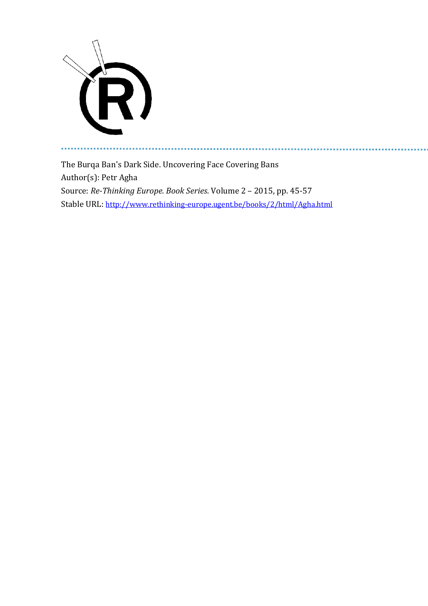

a a

The Burqa Ban's Dark Side. Uncovering Face Covering Bans Author(s): Petr Agha Source: *Re-Thinking Europe. Book Series*. Volume 2 – 2015, pp. 45-57 Stable URL: <http://www.rethinking-europe.ugent.be/books/2/html/Agha.html>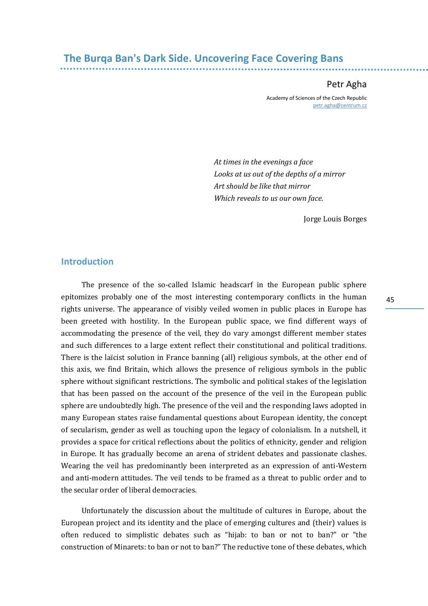# **The Burqa Ban's Dark Side. Uncovering Face Covering Bans**

Petr Agha

Academy of Sciences of the Czech Republic [petr.agha@centrum.cz](mailto:petr.agha@centrum.cz)

*At times in the evenings a face Looks at us out of the depths of a mirror Art should be like that mirror Which reveals to us our own face.*

Jorge Louis Borges

#### **Introduction**

The presence of the so-called Islamic headscarf in the European public sphere epitomizes probably one of the most interesting contemporary conflicts in the human rights universe. The appearance of visibly veiled women in public places in Europe has been greeted with hostility. In the European public space, we find different ways of accommodating the presence of the veil, they do vary amongst different member states and such differences to a large extent reflect their constitutional and political traditions. There is the laïcist solution in France banning (all) religious symbols, at the other end of this axis, we find Britain, which allows the presence of religious symbols in the public sphere without significant restrictions. The symbolic and political stakes of the legislation that has been passed on the account of the presence of the veil in the European public sphere are undoubtedly high. The presence of the veil and the responding laws adopted in many European states raise fundamental questions about European identity, the concept of secularism, gender as well as touching upon the legacy of colonialism. In a nutshell, it provides a space for critical reflections about the politics of ethnicity, gender and religion in Europe. It has gradually become an arena of strident debates and passionate clashes. Wearing the veil has predominantly been interpreted as an expression of anti-Western and anti-modern attitudes. The veil tends to be framed as a threat to public order and to the secular order of liberal democracies.

Unfortunately the discussion about the multitude of cultures in Europe, about the European project and its identity and the place of emerging cultures and (their) values is often reduced to simplistic debates such as "hijab: to ban or not to ban?" or "the construction of Minarets: to ban or not to ban?" The reductive tone of these debates, which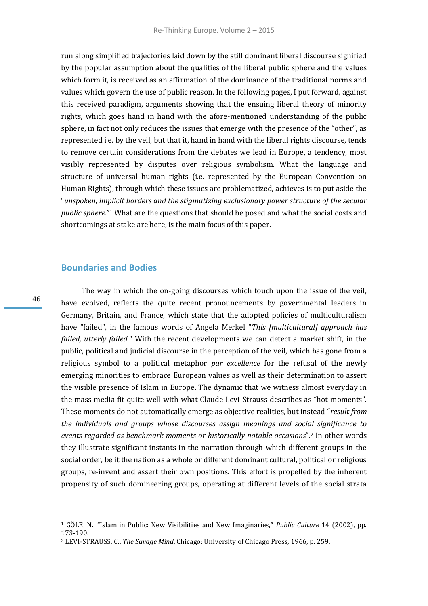run along simplified trajectories laid down by the still dominant liberal discourse signified by the popular assumption about the qualities of the liberal public sphere and the values which form it, is received as an affirmation of the dominance of the traditional norms and values which govern the use of public reason. In the following pages, I put forward, against this received paradigm, arguments showing that the ensuing liberal theory of minority rights, which goes hand in hand with the afore-mentioned understanding of the public sphere, in fact not only reduces the issues that emerge with the presence of the "other", as represented i.e. by the veil, but that it, hand in hand with the liberal rights discourse, tends to remove certain considerations from the debates we lead in Europe, a tendency, most visibly represented by disputes over religious symbolism. What the language and structure of universal human rights (i.e. represented by the European Convention on Human Rights), through which these issues are problematized, achieves is to put aside the "*unspoken, implicit borders and the stigmatizing exclusionary power structure of the secular public sphere*."<sup>1</sup> What are the questions that should be posed and what the social costs and shortcomings at stake are here, is the main focus of this paper.

## **Boundaries and Bodies**

The way in which the on-going discourses which touch upon the issue of the veil, have evolved, reflects the quite recent pronouncements by governmental leaders in Germany, Britain, and France, which state that the adopted policies of multiculturalism have "failed", in the famous words of Angela Merkel "*This [multicultural] approach has failed, utterly failed*." With the recent developments we can detect a market shift, in the public, political and judicial discourse in the perception of the veil, which has gone from a religious symbol to a political metaphor *par excellence* for the refusal of the newly emerging minorities to embrace European values as well as their determination to assert the visible presence of Islam in Europe. The dynamic that we witness almost everyday in the mass media fit quite well with what Claude Levi-Strauss describes as "hot moments". These moments do not automatically emerge as objective realities, but instead "*result from the individuals and groups whose discourses assign meanings and social significance to events regarded as benchmark moments or historically notable occasions*".<sup>2</sup> In other words they illustrate significant instants in the narration through which different groups in the social order, be it the nation as a whole or different dominant cultural, political or religious groups, re-invent and assert their own positions. This effort is propelled by the inherent propensity of such domineering groups, operating at different levels of the social strata

<sup>1</sup> GÖLE, N., "Islam in Public: New Visibilities and New Imaginaries," *Public Culture* 14 (2002), pp. 173-190.

<sup>2</sup> LEVI-STRAUSS, C., *The Savage Mind*, Chicago: University of Chicago Press, 1966, p. 259.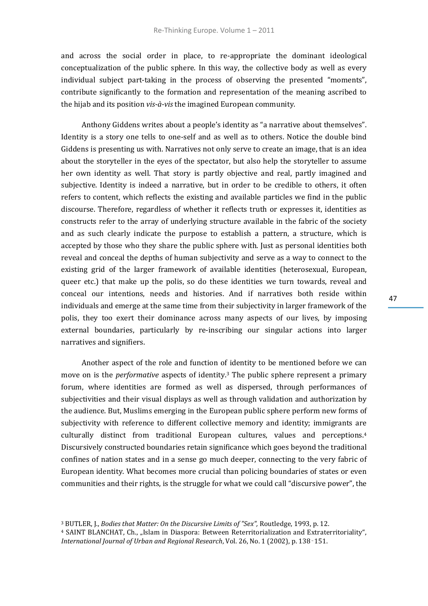and across the social order in place, to re-appropriate the dominant ideological conceptualization of the public sphere. In this way, the collective body as well as every individual subject part-taking in the process of observing the presented "moments", contribute significantly to the formation and representation of the meaning ascribed to the hijab and its position *vis-à-vis* the imagined European community.

Anthony Giddens writes about a people's identity as "a narrative about themselves". Identity is a story one tells to one-self and as well as to others. Notice the double bind Giddens is presenting us with. Narratives not only serve to create an image, that is an idea about the storyteller in the eyes of the spectator, but also help the storyteller to assume her own identity as well. That story is partly objective and real, partly imagined and subjective. Identity is indeed a narrative, but in order to be credible to others, it often refers to content, which reflects the existing and available particles we find in the public discourse. Therefore, regardless of whether it reflects truth or expresses it, identities as constructs refer to the array of underlying structure available in the fabric of the society and as such clearly indicate the purpose to establish a pattern, a structure, which is accepted by those who they share the public sphere with. Just as personal identities both reveal and conceal the depths of human subjectivity and serve as a way to connect to the existing grid of the larger framework of available identities (heterosexual, European, queer etc.) that make up the polis, so do these identities we turn towards, reveal and conceal our intentions, needs and histories. And if narratives both reside within individuals and emerge at the same time from their subjectivity in larger framework of the polis, they too exert their dominance across many aspects of our lives, by imposing external boundaries, particularly by re-inscribing our singular actions into larger narratives and signifiers.

Another aspect of the role and function of identity to be mentioned before we can move on is the *performative* aspects of identity. <sup>3</sup> The public sphere represent a primary forum, where identities are formed as well as dispersed, through performances of subjectivities and their visual displays as well as through validation and authorization by the audience. But, Muslims emerging in the European public sphere perform new forms of subjectivity with reference to different collective memory and identity; immigrants are culturally distinct from traditional European cultures, values and perceptions.<sup>4</sup> Discursively constructed boundaries retain significance which goes beyond the traditional confines of nation states and in a sense go much deeper, connecting to the very fabric of European identity. What becomes more crucial than policing boundaries of states or even communities and their rights, is the struggle for what we could call "discursive power", the

<sup>3</sup> BUTLER, J., *Bodies that Matter: On the Discursive Limits of "Sex",* Routledge, 1993, p. 12.

<sup>&</sup>lt;sup>4</sup> SAINT BLANCHAT, Ch., "Islam in Diaspora: Between Reterritorialization and Extraterritoriality", *International Journal of Urban and Regional Research*, Vol. 26, No. 1 (2002), p. 138‑151.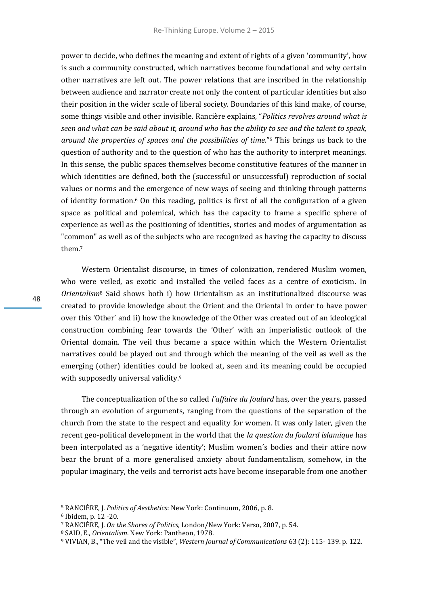power to decide, who defines the meaning and extent of rights of a given 'community', how is such a community constructed, which narratives become foundational and why certain other narratives are left out. The power relations that are inscribed in the relationship between audience and narrator create not only the content of particular identities but also their position in the wider scale of liberal society. Boundaries of this kind make, of course, some things visible and other invisible. Rancière explains, "*Politics revolves around what is seen and what can be said about it, around who has the ability to see and the talent to speak, around the properties of spaces and the possibilities of time*."<sup>5</sup> This brings us back to the question of authority and to the question of who has the authority to interpret meanings. In this sense, the public spaces themselves become constitutive features of the manner in which identities are defined, both the (successful or unsuccessful) reproduction of social values or norms and the emergence of new ways of seeing and thinking through patterns of identity formation.<sup>6</sup> On this reading, politics is first of all the configuration of a given space as political and polemical, which has the capacity to frame a specific sphere of experience as well as the positioning of identities, stories and modes of argumentation as "common" as well as of the subjects who are recognized as having the capacity to discuss them.<sup>7</sup>

Western Orientalist discourse, in times of colonization, rendered Muslim women, who were veiled, as exotic and installed the veiled faces as a centre of exoticism. In *Orientalism*<sup>8</sup> Said shows both i) how Orientalism as an institutionalized discourse was created to provide knowledge about the Orient and the Oriental in order to have power over this 'Other' and ii) how the knowledge of the Other was created out of an ideological construction combining fear towards the 'Other' with an imperialistic outlook of the Oriental domain. The veil thus became a space within which the Western Orientalist narratives could be played out and through which the meaning of the veil as well as the emerging (other) identities could be looked at, seen and its meaning could be occupied with supposedly universal validity.<sup>9</sup>

The conceptualization of the so called *l'affaire du foulard* has, over the years, passed through an evolution of arguments, ranging from the questions of the separation of the church from the state to the respect and equality for women. It was only later, given the recent geo-political development in the world that the *la question du foulard islamique* has been interpolated as a 'negative identity'; Muslim women´s bodies and their attire now bear the brunt of a more generalised anxiety about fundamentalism, somehow, in the popular imaginary, the veils and terrorist acts have become inseparable from one another

<sup>5</sup> RANCIÈRE, J. *Politics of Aesthetics*: New York: Continuum, 2006, p. 8.

<sup>6</sup> Ibidem, p. 12 -20.

<sup>7</sup> RANCIÈRE, J. *On the Shores of Politics*, London/New York: Verso, 2007, p. 54.

<sup>8</sup> SAID, E., *Orientalism*. New York: Pantheon, 1978.

<sup>9</sup> VIVIAN, B., "The veil and the visible", *Western Journal of Communications* 63 (2): 115- 139. p. 122.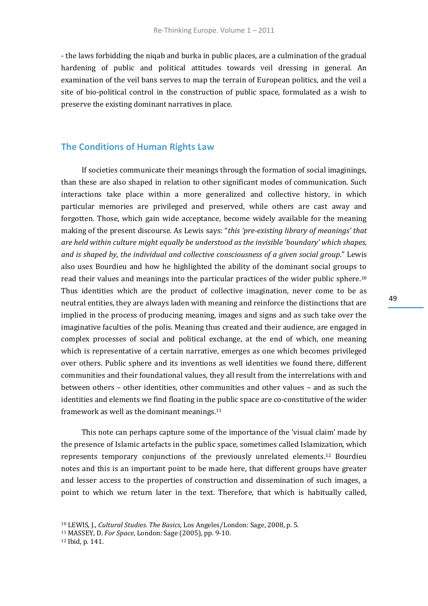- the laws forbidding the niqab and burka in public places, are a culmination of the gradual hardening of public and political attitudes towards veil dressing in general. An examination of the veil bans serves to map the terrain of European politics, and the veil a site of bio-political control in the construction of public space, formulated as a wish to preserve the existing dominant narratives in place.

## **The Conditions of Human Rights Law**

If societies communicate their meanings through the formation of social imaginings, than these are also shaped in relation to other significant modes of communication. Such interactions take place within a more generalized and collective history, in which particular memories are privileged and preserved, while others are cast away and forgotten. Those, which gain wide acceptance, become widely available for the meaning making of the present discourse. As Lewis says: "*this 'pre-existing library of meanings' that are held within culture might equally be understood as the invisible 'boundary' which shapes, and is shaped by, the individual and collective consciousness of a given social group*." Lewis also uses Bourdieu and how he highlighted the ability of the dominant social groups to read their values and meanings into the particular practices of the wider public sphere.<sup>10</sup> Thus identities which are the product of collective imagination, never come to be as neutral entities, they are always laden with meaning and reinforce the distinctions that are implied in the process of producing meaning, images and signs and as such take over the imaginative faculties of the polis. Meaning thus created and their audience, are engaged in complex processes of social and political exchange, at the end of which, one meaning which is representative of a certain narrative, emerges as one which becomes privileged over others. Public sphere and its inventions as well identities we found there, different communities and their foundational values, they all result from the interrelations with and between others – other identities, other communities and other values – and as such the identities and elements we find floating in the public space are co-constitutive of the wider framework as well as the dominant meanings.<sup>11</sup>

This note can perhaps capture some of the importance of the 'visual claim' made by the presence of Islamic artefacts in the public space, sometimes called Islamization, which represents temporary conjunctions of the previously unrelated elements.<sup>12</sup> Bourdieu notes and this is an important point to be made here, that different groups have greater and lesser access to the properties of construction and dissemination of such images, a point to which we return later in the text. Therefore, that which is habitually called,

<sup>10</sup> LEWIS, J., *Cultural Studies. The Basics,* Los Angeles/London: Sage, 2008, p. 5.

<sup>11</sup> MASSEY, D. *For Space*, London: Sage (2005), pp. 9-10.

<sup>12</sup> Ibid, p. 141.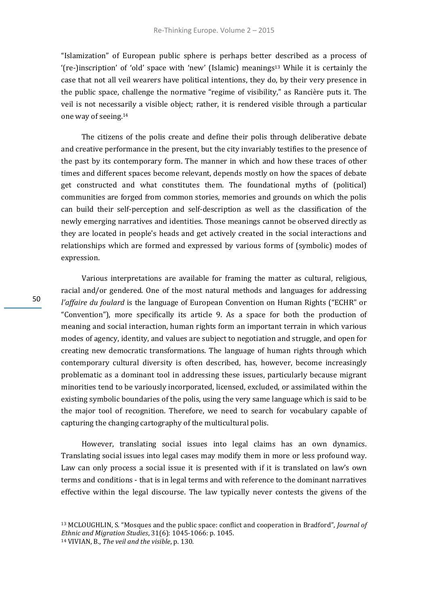"Islamization" of European public sphere is perhaps better described as a process of '(re-)inscription' of 'old' space with 'new' (Islamic) meanings<sup>13</sup> While it is certainly the case that not all veil wearers have political intentions, they do, by their very presence in the public space, challenge the normative "regime of visibility," as Rancière puts it. The veil is not necessarily a visible object; rather, it is rendered visible through a particular one way of seeing.<sup>14</sup>

The citizens of the polis create and define their polis through deliberative debate and creative performance in the present, but the city invariably testifies to the presence of the past by its contemporary form. The manner in which and how these traces of other times and different spaces become relevant, depends mostly on how the spaces of debate get constructed and what constitutes them. The foundational myths of (political) communities are forged from common stories, memories and grounds on which the polis can build their self-perception and self-description as well as the classification of the newly emerging narratives and identities. Those meanings cannot be observed directly as they are located in people's heads and get actively created in the social interactions and relationships which are formed and expressed by various forms of (symbolic) modes of expression.

Various interpretations are available for framing the matter as cultural, religious, racial and/or gendered. One of the most natural methods and languages for addressing *l'affaire du foulard* is the language of European Convention on Human Rights ("ECHR" or "Convention"), more specifically its article 9. As a space for both the production of meaning and social interaction, human rights form an important terrain in which various modes of agency, identity, and values are subject to negotiation and struggle, and open for creating new democratic transformations. The language of human rights through which contemporary cultural diversity is often described, has, however, become increasingly problematic as a dominant tool in addressing these issues, particularly because migrant minorities tend to be variously incorporated, licensed, excluded, or assimilated within the existing symbolic boundaries of the polis, using the very same language which is said to be the major tool of recognition. Therefore, we need to search for vocabulary capable of capturing the changing cartography of the multicultural polis.

However, translating social issues into legal claims has an own dynamics. Translating social issues into legal cases may modify them in more or less profound way. Law can only process a social issue it is presented with if it is translated on law's own terms and conditions - that is in legal terms and with reference to the dominant narratives effective within the legal discourse. The law typically never contests the givens of the

<sup>13</sup> MCLOUGHLIN, S. "Mosques and the public space: conflict and cooperation in Bradford", *Journal of Ethnic and Migration Studies*, 31(6): 1045-1066: p. 1045. <sup>14</sup> VIVIAN, B., *The veil and the visible*, p. 130.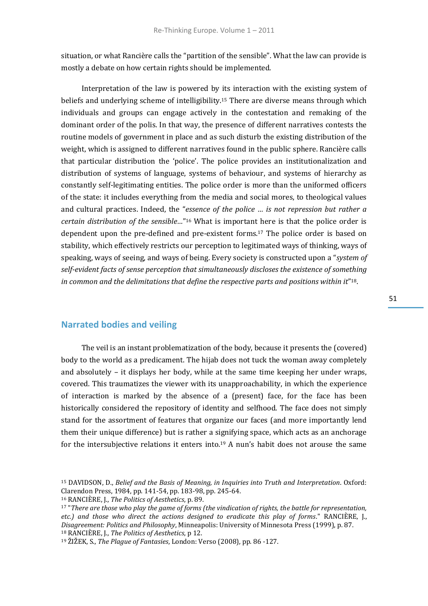situation, or what Rancière calls the "partition of the sensible". What the law can provide is mostly a debate on how certain rights should be implemented.

Interpretation of the law is powered by its interaction with the existing system of beliefs and underlying scheme of intelligibility.<sup>15</sup> There are diverse means through which individuals and groups can engage actively in the contestation and remaking of the dominant order of the polis. In that way, the presence of different narratives contests the routine models of government in place and as such disturb the existing distribution of the weight, which is assigned to different narratives found in the public sphere. Rancière calls that particular distribution the 'police'. The police provides an institutionalization and distribution of systems of language, systems of behaviour, and systems of hierarchy as constantly self-legitimating entities. The police order is more than the uniformed officers of the state: it includes everything from the media and social mores, to theological values and cultural practices. Indeed, the "*essence of the police … is not repression but rather a certain distribution of the sensible…*" <sup>16</sup> What is important here is that the police order is dependent upon the pre-defined and pre-existent forms.<sup>17</sup> The police order is based on stability, which effectively restricts our perception to legitimated ways of thinking, ways of speaking, ways of seeing, and ways of being. Every society is constructed upon a "*system of self-evident facts of sense perception that simultaneously discloses the existence of something in common and the delimitations that define the respective parts and positions within it*" 18.

#### **Narrated bodies and veiling**

The veil is an instant problematization of the body, because it presents the (covered) body to the world as a predicament. The hijab does not tuck the woman away completely and absolutely – it displays her body, while at the same time keeping her under wraps, covered. This traumatizes the viewer with its unapproachability, in which the experience of interaction is marked by the absence of a (present) face, for the face has been historically considered the repository of identity and selfhood. The face does not simply stand for the assortment of features that organize our faces (and more importantly lend them their unique difference) but is rather a signifying space, which acts as an anchorage for the intersubjective relations it enters into.<sup>19</sup> A nun's habit does not arouse the same

<sup>15</sup> DAVIDSON, D., *Belief and the Basis of Meaning, in Inquiries into Truth and Interpretation*. Oxford: Clarendon Press, 1984, pp. 141-54, pp. 183-98, pp. 245-64.

<sup>16</sup> RANCIÈRE, J., *The Politics of Aesthetics*, p. 89.

<sup>17</sup> "*There are those who play the game of forms (the vindication of rights, the battle for representation, etc.) and those who direct the actions designed to eradicate this play of forms*." RANCIÈRE, J., *Disagreement: Politics and Philosophy*, Minneapolis: University of Minnesota Press (1999), p. 87. <sup>18</sup> RANCIÈRE, J., *The Politics of Aesthetics*, p 12.

<sup>19</sup> ŽIŽEK, S., *The Plague of Fantasies*, London: Verso (2008), pp. 86 -127.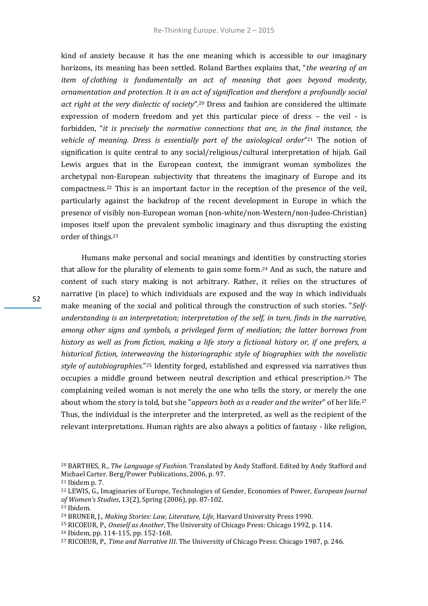kind of anxiety because it has the one meaning which is accessible to our imaginary horizons, its meaning has been settled. Roland Barthes explains that, "*the wearing of an item of clothing is fundamentally an act of meaning that goes beyond modesty, ornamentation and protection. It is an act of signification and therefore a profoundly social act right at the very dialectic of society*".<sup>20</sup> Dress and fashion are considered the ultimate expression of modern freedom and yet this particular piece of dress – the veil - is forbidden, "*it is precisely the normative connections that are, in the final instance, the vehicle of meaning. Dress is essentially part of the axiological order*" <sup>21</sup> The notion of signification is quite central to any social/religious/cultural interpretation of hijab. Gail Lewis argues that in the European context, the immigrant woman symbolizes the archetypal non-European subjectivity that threatens the imaginary of Europe and its compactness.<sup>22</sup> This is an important factor in the reception of the presence of the veil, particularly against the backdrop of the recent development in Europe in which the presence of visibly non-European woman (non-white/non-Western/non-Judeo-Christian) imposes itself upon the prevalent symbolic imaginary and thus disrupting the existing order of things.<sup>23</sup>

Humans make personal and social meanings and identities by constructing stories that allow for the plurality of elements to gain some form.<sup>24</sup> And as such, the nature and content of such story making is not arbitrary. Rather, it relies on the structures of narrative (in place) to which individuals are exposed and the way in which individuals make meaning of the social and political through the construction of such stories. "*Selfunderstanding is an interpretation; interpretation of the self, in turn, finds in the narrative, among other signs and symbols, a privileged form of mediation; the latter borrows from history as well as from fiction, making a life story a fictional history or, if one prefers, a historical fiction, interweaving the historiographic style of biographies with the novelistic style of autobiographies.*" <sup>25</sup> Identity forged, established and expressed via narratives thus occupies a middle ground between neutral description and ethical prescription.<sup>26</sup> The complaining veiled woman is not merely the one who tells the story, or merely the one about whom the story is told, but she "*appears both as a reader and the writer*" of her life.<sup>27</sup> Thus, the individual is the interpreter and the interpreted, as well as the recipient of the relevant interpretations. Human rights are also always a politics of fantasy - like religion,

- <sup>25</sup> RICOEUR, P., *Oneself as Another*, The University of Chicago Press: Chicago 1992, p. 114.
- <sup>26</sup> Ibidem, pp. 114-115, pp. 152-168.

<sup>20</sup> BARTHES, R., *The Language of Fashion*. Translated by Andy Stafford. Edited by Andy Stafford and Michael Carter. Berg/Power Publications, 2006, p. 97.

<sup>21</sup> Ibidem p. 7.

<sup>22</sup> LEWIS, G., Imaginaries of Europe, Technologies of Gender, Economies of Power, *European Journal of Women's Studies*, 13(2), Spring (2006), pp. 87-102.

<sup>23</sup> Ibidem.

<sup>24</sup> BRUNER, J., *Making Stories: Law, Literature, Life*, Harvard University Press 1990.

<sup>27</sup> RICOEUR, P., *Time and Narrative III*. The University of Chicago Press: Chicago 1987, p. 246.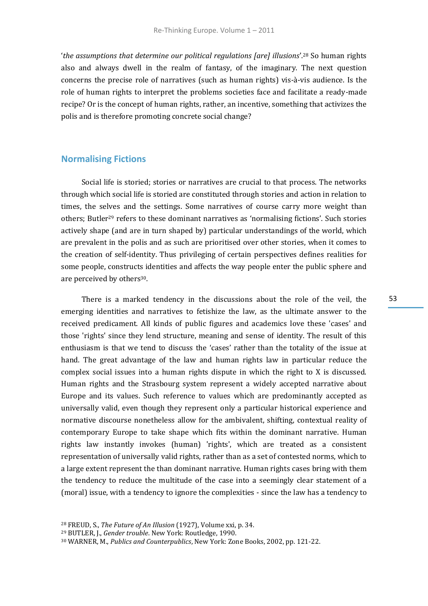'*the assumptions that determine our political regulations [are] illusions*'.<sup>28</sup> So human rights also and always dwell in the realm of fantasy, of the imaginary. The next question concerns the precise role of narratives (such as human rights) vis-à-vis audience. Is the role of human rights to interpret the problems societies face and facilitate a ready-made recipe? Or is the concept of human rights, rather, an incentive, something that activizes the polis and is therefore promoting concrete social change?

#### **Normalising Fictions**

Social life is storied; stories or narratives are crucial to that process. The networks through which social life is storied are constituted through stories and action in relation to times, the selves and the settings. Some narratives of course carry more weight than others; Butler<sup>29</sup> refers to these dominant narratives as 'normalising fictions'. Such stories actively shape (and are in turn shaped by) particular understandings of the world, which are prevalent in the polis and as such are prioritised over other stories, when it comes to the creation of self-identity. Thus privileging of certain perspectives defines realities for some people, constructs identities and affects the way people enter the public sphere and are perceived by others<sup>30</sup>.

There is a marked tendency in the discussions about the role of the veil, the emerging identities and narratives to fetishize the law, as the ultimate answer to the received predicament. All kinds of public figures and academics love these 'cases' and those 'rights' since they lend structure, meaning and sense of identity. The result of this enthusiasm is that we tend to discuss the 'cases' rather than the totality of the issue at hand. The great advantage of the law and human rights law in particular reduce the complex social issues into a human rights dispute in which the right to X is discussed. Human rights and the Strasbourg system represent a widely accepted narrative about Europe and its values. Such reference to values which are predominantly accepted as universally valid, even though they represent only a particular historical experience and normative discourse nonetheless allow for the ambivalent, shifting, contextual reality of contemporary Europe to take shape which fits within the dominant narrative. Human rights law instantly invokes (human) 'rights', which are treated as a consistent representation of universally valid rights, rather than as a set of contested norms, which to a large extent represent the than dominant narrative. Human rights cases bring with them the tendency to reduce the multitude of the case into a seemingly clear statement of a (moral) issue, with a tendency to ignore the complexities - since the law has a tendency to

<sup>28</sup> FREUD, S., *The Future of An Illusion* (1927), Volume xxi, p. 34.

<sup>29</sup> BUTLER, J., *Gender trouble*. New York: Routledge, 1990.

<sup>30</sup> WARNER, M., *Publics and Counterpublics*, New York: Zone Books, 2002, pp. 121-22.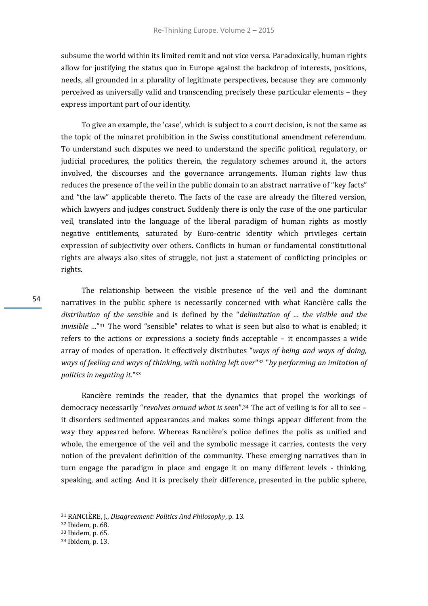subsume the world within its limited remit and not vice versa. Paradoxically, human rights allow for justifying the status quo in Europe against the backdrop of interests, positions, needs, all grounded in a plurality of legitimate perspectives, because they are commonly perceived as universally valid and transcending precisely these particular elements – they express important part of our identity.

To give an example, the 'case', which is subject to a court decision, is not the same as the topic of the minaret prohibition in the Swiss constitutional amendment referendum. To understand such disputes we need to understand the specific political, regulatory, or judicial procedures, the politics therein, the regulatory schemes around it, the actors involved, the discourses and the governance arrangements. Human rights law thus reduces the presence of the veil in the public domain to an abstract narrative of "key facts" and "the law" applicable thereto. The facts of the case are already the filtered version, which lawyers and judges construct. Suddenly there is only the case of the one particular veil, translated into the language of the liberal paradigm of human rights as mostly negative entitlements, saturated by Euro-centric identity which privileges certain expression of subjectivity over others. Conflicts in human or fundamental constitutional rights are always also sites of struggle, not just a statement of conflicting principles or rights.

The relationship between the visible presence of the veil and the dominant narratives in the public sphere is necessarily concerned with what Rancière calls the *distribution of the sensible* and is defined by the "*delimitation of … the visible and the invisible …*" <sup>31</sup> The word "sensible" relates to what is seen but also to what is enabled; it refers to the actions or expressions a society finds acceptable – it encompasses a wide array of modes of operation. It effectively distributes "*ways of being and ways of doing, ways of feeling and ways of thinking, with nothing left over*" <sup>32</sup> "*by performing an imitation of politics in negating it.*" 33

Rancière reminds the reader, that the dynamics that propel the workings of democracy necessarily "*revolves around what is seen*".<sup>34</sup> The act of veiling is for all to see – it disorders sedimented appearances and makes some things appear different from the way they appeared before. Whereas Rancière's police defines the polis as unified and whole, the emergence of the veil and the symbolic message it carries, contests the very notion of the prevalent definition of the community. These emerging narratives than in turn engage the paradigm in place and engage it on many different levels - thinking, speaking, and acting. And it is precisely their difference, presented in the public sphere,

<sup>31</sup> RANCIÈRE, J., *Disagreement: Politics And Philosophy*, p. 13.

<sup>32</sup> Ibidem, p. 68.

<sup>33</sup> Ibidem, p. 65.

<sup>34</sup> Ibidem, p. 13.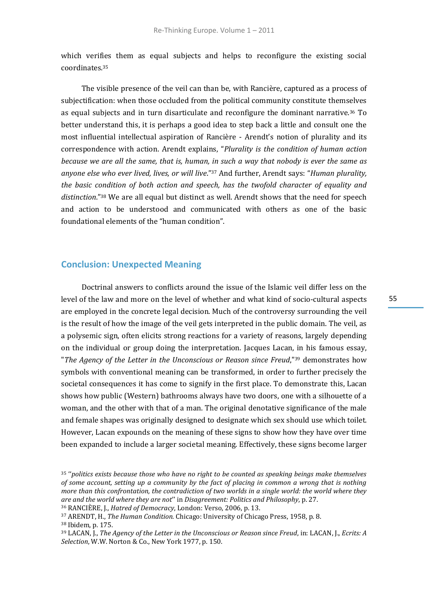which verifies them as equal subjects and helps to reconfigure the existing social coordinates.<sup>35</sup>

The visible presence of the veil can than be, with Rancière, captured as a process of subjectification: when those occluded from the political community constitute themselves as equal subjects and in turn disarticulate and reconfigure the dominant narrative.<sup>36</sup> To better understand this, it is perhaps a good idea to step back a little and consult one the most influential intellectual aspiration of Rancière - Arendt's notion of plurality and its correspondence with action. Arendt explains, "*Plurality is the condition of human action because we are all the same, that is, human, in such a way that nobody is ever the same as anyone else who ever lived, lives, or will live*."<sup>37</sup> And further, Arendt says: "*Human plurality, the basic condition of both action and speech, has the twofold character of equality and distinction*."<sup>38</sup> We are all equal but distinct as well. Arendt shows that the need for speech and action to be understood and communicated with others as one of the basic foundational elements of the "human condition".

## **Conclusion: Unexpected Meaning**

Doctrinal answers to conflicts around the issue of the Islamic veil differ less on the level of the law and more on the level of whether and what kind of socio-cultural aspects are employed in the concrete legal decision. Much of the controversy surrounding the veil is the result of how the image of the veil gets interpreted in the public domain. The veil, as a polysemic sign, often elicits strong reactions for a variety of reasons, largely depending on the individual or group doing the interpretation. Jacques Lacan, in his famous essay, "*The Agency of the Letter in the Unconscious or Reason since Freud*,"<sup>39</sup> demonstrates how symbols with conventional meaning can be transformed, in order to further precisely the societal consequences it has come to signify in the first place. To demonstrate this, Lacan shows how public (Western) bathrooms always have two doors, one with a silhouette of a woman, and the other with that of a man. The original denotative significance of the male and female shapes was originally designed to designate which sex should use which toilet. However, Lacan expounds on the meaning of these signs to show how they have over time been expanded to include a larger societal meaning. Effectively, these signs become larger

<sup>35</sup> ''*politics exists because those who have no right to be counted as speaking beings make themselves of some account, setting up a community by the fact of placing in common a wrong that is nothing more than this confrontation, the contradiction of two worlds in a single world: the world where they are and the world where they are not*'' in *Disagreement: Politics and Philosophy*, p. 27.

<sup>36</sup> RANCIÈRE, J., *Hatred of Democracy*, London: Verso, 2006, p. 13.

<sup>37</sup> ARENDT, H., *The Human Condition.* Chicago: University of Chicago Press, 1958, p. 8.

<sup>38</sup> Ibidem, p. 175.

<sup>39</sup> LACAN, J., *The Agency of the Letter in the Unconscious or Reason since Freud*, in: LACAN, J., *Ecrits: A Selection*, W.W. Norton & Co., New York 1977, p. 150.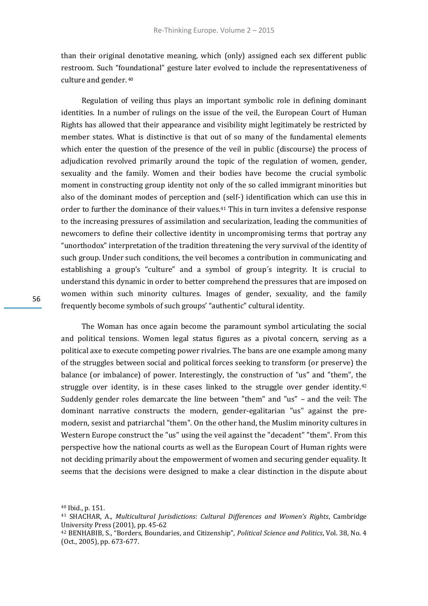than their original denotative meaning, which (only) assigned each sex different public restroom. Such "foundational" gesture later evolved to include the representativeness of culture and gender. <sup>40</sup>

Regulation of veiling thus plays an important symbolic role in defining dominant identities. In a number of rulings on the issue of the veil, the European Court of Human Rights has allowed that their appearance and visibility might legitimately be restricted by member states. What is distinctive is that out of so many of the fundamental elements which enter the question of the presence of the veil in public (discourse) the process of adjudication revolved primarily around the topic of the regulation of women, gender, sexuality and the family. Women and their bodies have become the crucial symbolic moment in constructing group identity not only of the so called immigrant minorities but also of the dominant modes of perception and (self-) identification which can use this in order to further the dominance of their values.<sup>41</sup> This in turn invites a defensive response to the increasing pressures of assimilation and secularization, leading the communities of newcomers to define their collective identity in uncompromising terms that portray any "unorthodox" interpretation of the tradition threatening the very survival of the identity of such group. Under such conditions, the veil becomes a contribution in communicating and establishing a group's "culture" and a symbol of group´s integrity. It is crucial to understand this dynamic in order to better comprehend the pressures that are imposed on women within such minority cultures. Images of gender, sexuality, and the family frequently become symbols of such groups' "authentic" cultural identity.

The Woman has once again become the paramount symbol articulating the social and political tensions. Women legal status figures as a pivotal concern, serving as a political axe to execute competing power rivalries. The bans are one example among many of the struggles between social and political forces seeking to transform (or preserve) the balance (or imbalance) of power. Interestingly, the construction of "us" and "them", the struggle over identity, is in these cases linked to the struggle over gender identity. $42$ Suddenly gender roles demarcate the line between "them" and "us" – and the veil: The dominant narrative constructs the modern, gender-egalitarian "us" against the premodern, sexist and patriarchal "them". On the other hand, the Muslim minority cultures in Western Europe construct the "us" using the veil against the "decadent" "them". From this perspective how the national courts as well as the European Court of Human rights were not deciding primarily about the empowerment of women and securing gender equality. It seems that the decisions were designed to make a clear distinction in the dispute about

<sup>40</sup> Ibid., p. 151.

<sup>41</sup> SHACHAR, A., *Multicultural Jurisdictions: Cultural Differences and Women's Rights*, Cambridge University Press (2001), pp. 45-62

<sup>42</sup> BENHABIB, S., "Borders, Boundaries, and Citizenship"*, Political Science and Politics*, Vol. 38, No. 4 (Oct., 2005), pp. 673-677.